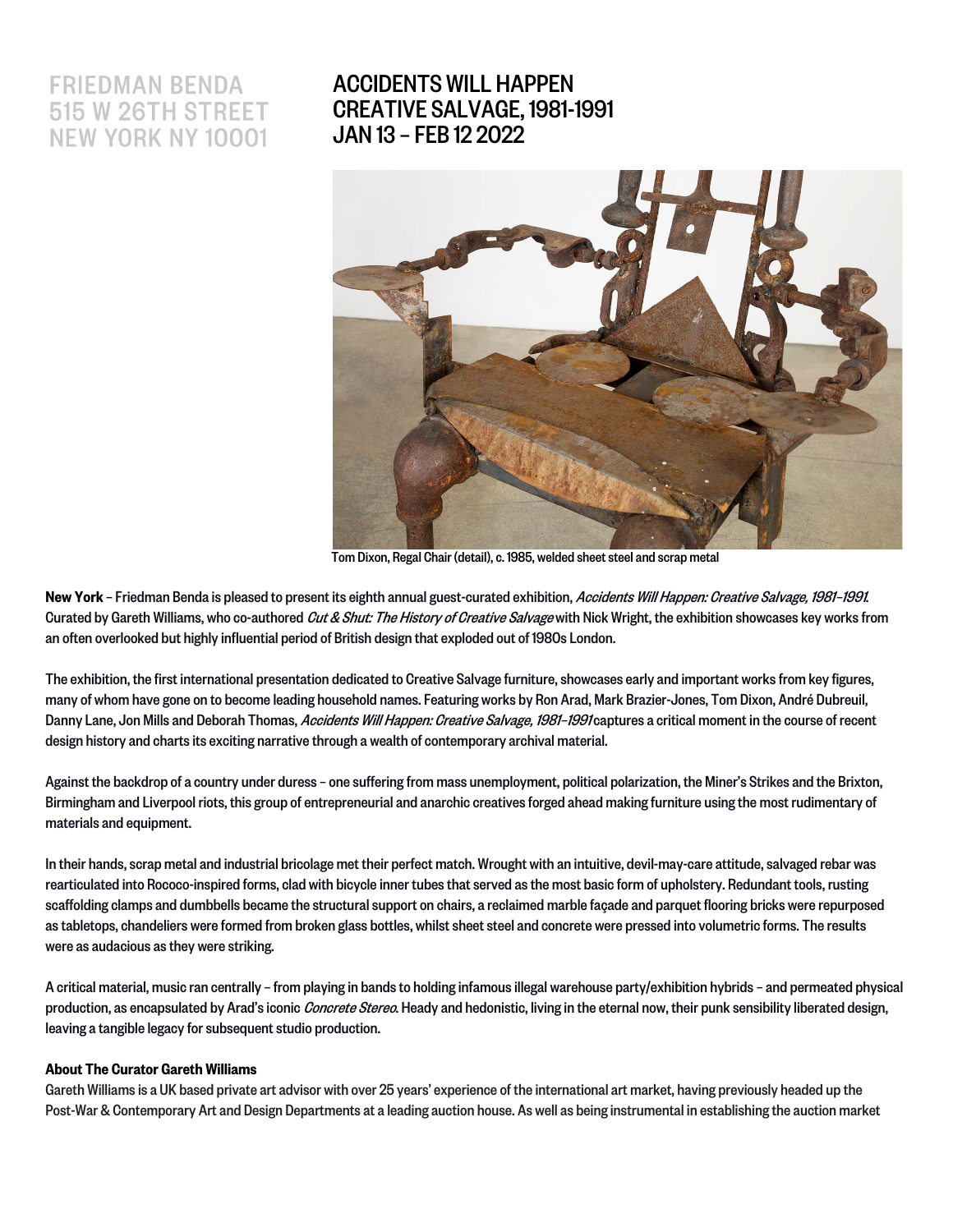# **FRIEDMAN BENDA 515 W 26TH STREET NEW YORK NY 10001**

## ACCIDENTS WILL HAPPEN CREATIVE SALVAGE, 1981-1991 JAN 13 – FEB 12 2022



Tom Dixon, Regal Chair (detail), c. 1985, welded sheet steel and scrap metal

New York - Friedman Benda is pleased to present its eighth annual guest-curated exhibition, Accidents Will Happen: Creative Salvage, 1981-1991. Curated by Gareth Williams, who co-authored Cut & Shut: The History of Creative Salvage with Nick Wright, the exhibition showcases key works from an often overlooked but highly influential period of British design that exploded out of 1980s London.

The exhibition, the first international presentation dedicated to Creative Salvage furniture, showcases early and important works from key figures, many of whom have gone on to become leading household names. Featuring works by Ron Arad, Mark Brazier-Jones, Tom Dixon, André Dubreuil, Danny Lane, Jon Mills and Deborah Thomas, Accidents Will Happen: Creative Salvage, 1981-1991 captures a critical moment in the course of recent design history and charts its exciting narrative through a wealth of contemporary archival material.

Against the backdrop of a country under duress – one suffering from mass unemployment, political polarization, the Miner's Strikes and the Brixton, Birmingham and Liverpool riots, this group of entrepreneurial and anarchic creatives forged ahead making furniture using the most rudimentary of materials and equipment.

In their hands, scrap metaland industrial bricolage met their perfect match. Wrought with an intuitive, devil-may-care attitude, salvaged rebar was rearticulated into Rococo-inspired forms, clad with bicycle inner tubes that served as the most basic form of upholstery. Redundant tools, rusting scaffolding clamps and dumbbells became the structural support on chairs, a reclaimed marble façade and parquet flooring bricks were repurposed as tabletops, chandeliers were formed from broken glass bottles, whilst sheet steel and concrete were pressed into volumetric forms. The results were as audacious as they were striking.

A critical material, music ran centrally – from playing in bands to holding infamous illegal warehouse party/exhibition hybrids – and permeated physical production, as encapsulated by Arad's iconic Concrete Stereo. Heady and hedonistic, living in the eternal now, their punk sensibility liberated design, leaving a tangible legacy for subsequent studio production.

#### About The Curator Gareth Williams

Gareth Williams is a UK based private art advisor with over 25 years' experience of the international art market, having previously headed up the Post-War & Contemporary Art and Design Departments at a leading auction house. As well as being instrumental in establishing the auction market